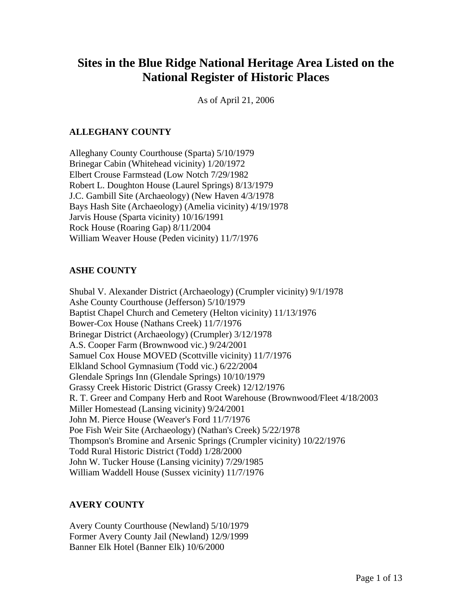# **Sites in the Blue Ridge National Heritage Area Listed on the National Register of Historic Places**

As of April 21, 2006

# **ALLEGHANY COUNTY**

Alleghany County Courthouse (Sparta) 5/10/1979 Brinegar Cabin (Whitehead vicinity) 1/20/1972 Elbert Crouse Farmstead (Low Notch 7/29/1982 Robert L. Doughton House (Laurel Springs) 8/13/1979 J.C. Gambill Site (Archaeology) (New Haven 4/3/1978 Bays Hash Site (Archaeology) (Amelia vicinity) 4/19/1978 Jarvis House (Sparta vicinity) 10/16/1991 Rock House (Roaring Gap) 8/11/2004 William Weaver House (Peden vicinity) 11/7/1976

#### **ASHE COUNTY**

Shubal V. Alexander District (Archaeology) (Crumpler vicinity) 9/1/1978 Ashe County Courthouse (Jefferson) 5/10/1979 Baptist Chapel Church and Cemetery (Helton vicinity) 11/13/1976 Bower-Cox House (Nathans Creek) 11/7/1976 Brinegar District (Archaeology) (Crumpler) 3/12/1978 A.S. Cooper Farm (Brownwood vic.) 9/24/2001 Samuel Cox House MOVED (Scottville vicinity) 11/7/1976 Elkland School Gymnasium (Todd vic.) 6/22/2004 Glendale Springs Inn (Glendale Springs) 10/10/1979 Grassy Creek Historic District (Grassy Creek) 12/12/1976 R. T. Greer and Company Herb and Root Warehouse (Brownwood/Fleet 4/18/2003 Miller Homestead (Lansing vicinity) 9/24/2001 John M. Pierce House (Weaver's Ford 11/7/1976 Poe Fish Weir Site (Archaeology) (Nathan's Creek) 5/22/1978 Thompson's Bromine and Arsenic Springs (Crumpler vicinity) 10/22/1976 Todd Rural Historic District (Todd) 1/28/2000 John W. Tucker House (Lansing vicinity) 7/29/1985 William Waddell House (Sussex vicinity) 11/7/1976

# **AVERY COUNTY**

Avery County Courthouse (Newland) 5/10/1979 Former Avery County Jail (Newland) 12/9/1999 Banner Elk Hotel (Banner Elk) 10/6/2000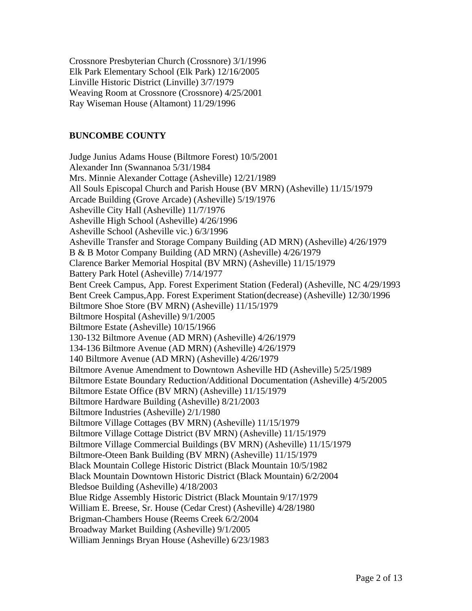Crossnore Presbyterian Church (Crossnore) 3/1/1996 Elk Park Elementary School (Elk Park) 12/16/2005 Linville Historic District (Linville) 3/7/1979 Weaving Room at Crossnore (Crossnore) 4/25/2001 Ray Wiseman House (Altamont) 11/29/1996

#### **BUNCOMBE COUNTY**

Judge Junius Adams House (Biltmore Forest) 10/5/2001 Alexander Inn (Swannanoa 5/31/1984 Mrs. Minnie Alexander Cottage (Asheville) 12/21/1989 All Souls Episcopal Church and Parish House (BV MRN) (Asheville) 11/15/1979 Arcade Building (Grove Arcade) (Asheville) 5/19/1976 Asheville City Hall (Asheville) 11/7/1976 Asheville High School (Asheville) 4/26/1996 Asheville School (Asheville vic.) 6/3/1996 Asheville Transfer and Storage Company Building (AD MRN) (Asheville) 4/26/1979 B & B Motor Company Building (AD MRN) (Asheville) 4/26/1979 Clarence Barker Memorial Hospital (BV MRN) (Asheville) 11/15/1979 Battery Park Hotel (Asheville) 7/14/1977 Bent Creek Campus, App. Forest Experiment Station (Federal) (Asheville, NC 4/29/1993 Bent Creek Campus,App. Forest Experiment Station(decrease) (Asheville) 12/30/1996 Biltmore Shoe Store (BV MRN) (Asheville) 11/15/1979 Biltmore Hospital (Asheville) 9/1/2005 Biltmore Estate (Asheville) 10/15/1966 130-132 Biltmore Avenue (AD MRN) (Asheville) 4/26/1979 134-136 Biltmore Avenue (AD MRN) (Asheville) 4/26/1979 140 Biltmore Avenue (AD MRN) (Asheville) 4/26/1979 Biltmore Avenue Amendment to Downtown Asheville HD (Asheville) 5/25/1989 Biltmore Estate Boundary Reduction/Additional Documentation (Asheville) 4/5/2005 Biltmore Estate Office (BV MRN) (Asheville) 11/15/1979 Biltmore Hardware Building (Asheville) 8/21/2003 Biltmore Industries (Asheville) 2/1/1980 Biltmore Village Cottages (BV MRN) (Asheville) 11/15/1979 Biltmore Village Cottage District (BV MRN) (Asheville) 11/15/1979 Biltmore Village Commercial Buildings (BV MRN) (Asheville) 11/15/1979 Biltmore-Oteen Bank Building (BV MRN) (Asheville) 11/15/1979 Black Mountain College Historic District (Black Mountain 10/5/1982 Black Mountain Downtown Historic District (Black Mountain) 6/2/2004 Bledsoe Building (Asheville) 4/18/2003 Blue Ridge Assembly Historic District (Black Mountain 9/17/1979 William E. Breese, Sr. House (Cedar Crest) (Asheville) 4/28/1980 Brigman-Chambers House (Reems Creek 6/2/2004 Broadway Market Building (Asheville) 9/1/2005 William Jennings Bryan House (Asheville) 6/23/1983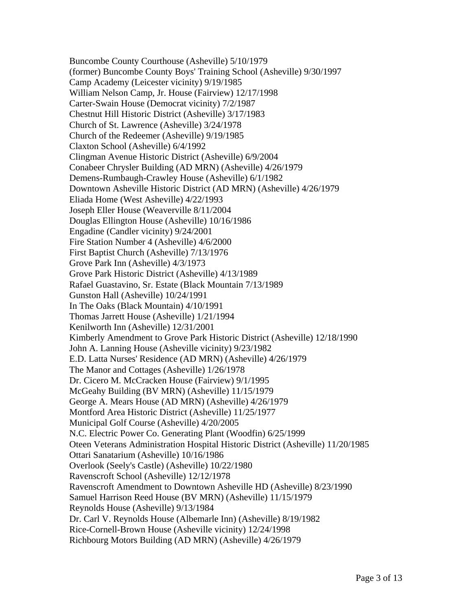Buncombe County Courthouse (Asheville) 5/10/1979 (former) Buncombe County Boys' Training School (Asheville) 9/30/1997 Camp Academy (Leicester vicinity) 9/19/1985 William Nelson Camp, Jr. House (Fairview) 12/17/1998 Carter-Swain House (Democrat vicinity) 7/2/1987 Chestnut Hill Historic District (Asheville) 3/17/1983 Church of St. Lawrence (Asheville) 3/24/1978 Church of the Redeemer (Asheville) 9/19/1985 Claxton School (Asheville) 6/4/1992 Clingman Avenue Historic District (Asheville) 6/9/2004 Conabeer Chrysler Building (AD MRN) (Asheville) 4/26/1979 Demens-Rumbaugh-Crawley House (Asheville) 6/1/1982 Downtown Asheville Historic District (AD MRN) (Asheville) 4/26/1979 Eliada Home (West Asheville) 4/22/1993 Joseph Eller House (Weaverville 8/11/2004 Douglas Ellington House (Asheville) 10/16/1986 Engadine (Candler vicinity) 9/24/2001 Fire Station Number 4 (Asheville) 4/6/2000 First Baptist Church (Asheville) 7/13/1976 Grove Park Inn (Asheville) 4/3/1973 Grove Park Historic District (Asheville) 4/13/1989 Rafael Guastavino, Sr. Estate (Black Mountain 7/13/1989 Gunston Hall (Asheville) 10/24/1991 In The Oaks (Black Mountain) 4/10/1991 Thomas Jarrett House (Asheville) 1/21/1994 Kenilworth Inn (Asheville) 12/31/2001 Kimberly Amendment to Grove Park Historic District (Asheville) 12/18/1990 John A. Lanning House (Asheville vicinity) 9/23/1982 E.D. Latta Nurses' Residence (AD MRN) (Asheville) 4/26/1979 The Manor and Cottages (Asheville) 1/26/1978 Dr. Cicero M. McCracken House (Fairview) 9/1/1995 McGeahy Building (BV MRN) (Asheville) 11/15/1979 George A. Mears House (AD MRN) (Asheville) 4/26/1979 Montford Area Historic District (Asheville) 11/25/1977 Municipal Golf Course (Asheville) 4/20/2005 N.C. Electric Power Co. Generating Plant (Woodfin) 6/25/1999 Oteen Veterans Administration Hospital Historic District (Asheville) 11/20/1985 Ottari Sanatarium (Asheville) 10/16/1986 Overlook (Seely's Castle) (Asheville) 10/22/1980 Ravenscroft School (Asheville) 12/12/1978 Ravenscroft Amendment to Downtown Asheville HD (Asheville) 8/23/1990 Samuel Harrison Reed House (BV MRN) (Asheville) 11/15/1979 Reynolds House (Asheville) 9/13/1984 Dr. Carl V. Reynolds House (Albemarle Inn) (Asheville) 8/19/1982 Rice-Cornell-Brown House (Asheville vicinity) 12/24/1998 Richbourg Motors Building (AD MRN) (Asheville) 4/26/1979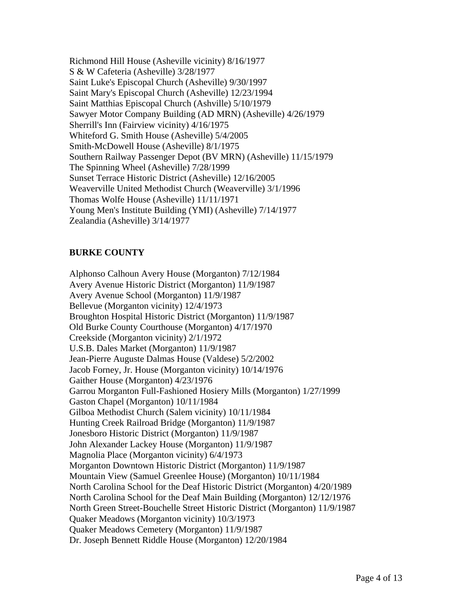Richmond Hill House (Asheville vicinity) 8/16/1977 S & W Cafeteria (Asheville) 3/28/1977 Saint Luke's Episcopal Church (Asheville) 9/30/1997 Saint Mary's Episcopal Church (Asheville) 12/23/1994 Saint Matthias Episcopal Church (Ashville) 5/10/1979 Sawyer Motor Company Building (AD MRN) (Asheville) 4/26/1979 Sherrill's Inn (Fairview vicinity) 4/16/1975 Whiteford G. Smith House (Asheville) 5/4/2005 Smith-McDowell House (Asheville) 8/1/1975 Southern Railway Passenger Depot (BV MRN) (Asheville) 11/15/1979 The Spinning Wheel (Asheville) 7/28/1999 Sunset Terrace Historic District (Asheville) 12/16/2005 Weaverville United Methodist Church (Weaverville) 3/1/1996 Thomas Wolfe House (Asheville) 11/11/1971 Young Men's Institute Building (YMI) (Asheville) 7/14/1977 Zealandia (Asheville) 3/14/1977

# **BURKE COUNTY**

Alphonso Calhoun Avery House (Morganton) 7/12/1984 Avery Avenue Historic District (Morganton) 11/9/1987 Avery Avenue School (Morganton) 11/9/1987 Bellevue (Morganton vicinity) 12/4/1973 Broughton Hospital Historic District (Morganton) 11/9/1987 Old Burke County Courthouse (Morganton) 4/17/1970 Creekside (Morganton vicinity) 2/1/1972 U.S.B. Dales Market (Morganton) 11/9/1987 Jean-Pierre Auguste Dalmas House (Valdese) 5/2/2002 Jacob Forney, Jr. House (Morganton vicinity) 10/14/1976 Gaither House (Morganton) 4/23/1976 Garrou Morganton Full-Fashioned Hosiery Mills (Morganton) 1/27/1999 Gaston Chapel (Morganton) 10/11/1984 Gilboa Methodist Church (Salem vicinity) 10/11/1984 Hunting Creek Railroad Bridge (Morganton) 11/9/1987 Jonesboro Historic District (Morganton) 11/9/1987 John Alexander Lackey House (Morganton) 11/9/1987 Magnolia Place (Morganton vicinity) 6/4/1973 Morganton Downtown Historic District (Morganton) 11/9/1987 Mountain View (Samuel Greenlee House) (Morganton) 10/11/1984 North Carolina School for the Deaf Historic District (Morganton) 4/20/1989 North Carolina School for the Deaf Main Building (Morganton) 12/12/1976 North Green Street-Bouchelle Street Historic District (Morganton) 11/9/1987 Quaker Meadows (Morganton vicinity) 10/3/1973 Quaker Meadows Cemetery (Morganton) 11/9/1987 Dr. Joseph Bennett Riddle House (Morganton) 12/20/1984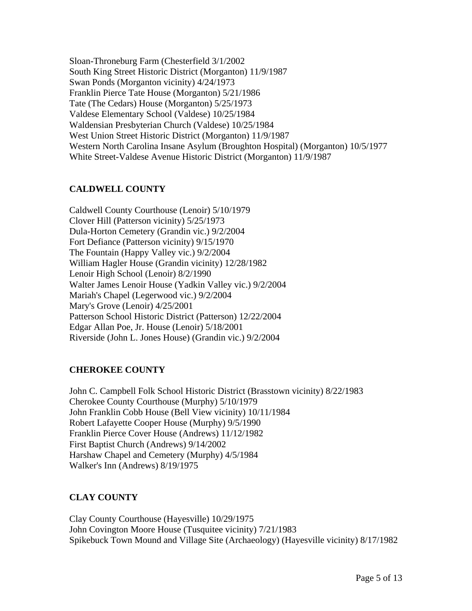Sloan-Throneburg Farm (Chesterfield 3/1/2002 South King Street Historic District (Morganton) 11/9/1987 Swan Ponds (Morganton vicinity) 4/24/1973 Franklin Pierce Tate House (Morganton) 5/21/1986 Tate (The Cedars) House (Morganton) 5/25/1973 Valdese Elementary School (Valdese) 10/25/1984 Waldensian Presbyterian Church (Valdese) 10/25/1984 West Union Street Historic District (Morganton) 11/9/1987 Western North Carolina Insane Asylum (Broughton Hospital) (Morganton) 10/5/1977 White Street-Valdese Avenue Historic District (Morganton) 11/9/1987

# **CALDWELL COUNTY**

Caldwell County Courthouse (Lenoir) 5/10/1979 Clover Hill (Patterson vicinity) 5/25/1973 Dula-Horton Cemetery (Grandin vic.) 9/2/2004 Fort Defiance (Patterson vicinity) 9/15/1970 The Fountain (Happy Valley vic.) 9/2/2004 William Hagler House (Grandin vicinity) 12/28/1982 Lenoir High School (Lenoir) 8/2/1990 Walter James Lenoir House (Yadkin Valley vic.) 9/2/2004 Mariah's Chapel (Legerwood vic.) 9/2/2004 Mary's Grove (Lenoir) 4/25/2001 Patterson School Historic District (Patterson) 12/22/2004 Edgar Allan Poe, Jr. House (Lenoir) 5/18/2001 Riverside (John L. Jones House) (Grandin vic.) 9/2/2004

# **CHEROKEE COUNTY**

John C. Campbell Folk School Historic District (Brasstown vicinity) 8/22/1983 Cherokee County Courthouse (Murphy) 5/10/1979 John Franklin Cobb House (Bell View vicinity) 10/11/1984 Robert Lafayette Cooper House (Murphy) 9/5/1990 Franklin Pierce Cover House (Andrews) 11/12/1982 First Baptist Church (Andrews) 9/14/2002 Harshaw Chapel and Cemetery (Murphy) 4/5/1984 Walker's Inn (Andrews) 8/19/1975

# **CLAY COUNTY**

Clay County Courthouse (Hayesville) 10/29/1975 John Covington Moore House (Tusquitee vicinity) 7/21/1983 Spikebuck Town Mound and Village Site (Archaeology) (Hayesville vicinity) 8/17/1982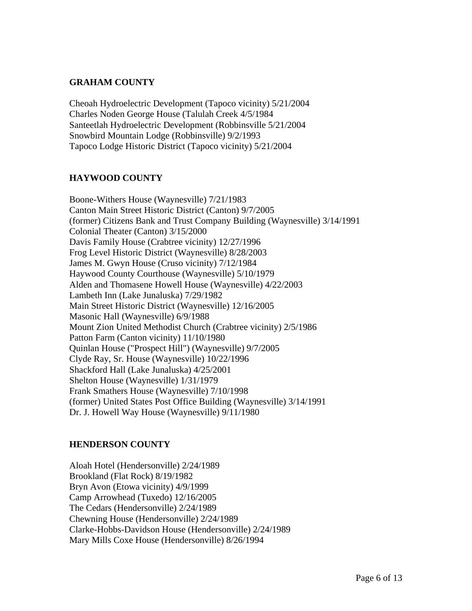#### **GRAHAM COUNTY**

Cheoah Hydroelectric Development (Tapoco vicinity) 5/21/2004 Charles Noden George House (Talulah Creek 4/5/1984 Santeetlah Hydroelectric Development (Robbinsville 5/21/2004 Snowbird Mountain Lodge (Robbinsville) 9/2/1993 Tapoco Lodge Historic District (Tapoco vicinity) 5/21/2004

#### **HAYWOOD COUNTY**

Boone-Withers House (Waynesville) 7/21/1983 Canton Main Street Historic District (Canton) 9/7/2005 (former) Citizens Bank and Trust Company Building (Waynesville) 3/14/1991 Colonial Theater (Canton) 3/15/2000 Davis Family House (Crabtree vicinity) 12/27/1996 Frog Level Historic District (Waynesville) 8/28/2003 James M. Gwyn House (Cruso vicinity) 7/12/1984 Haywood County Courthouse (Waynesville) 5/10/1979 Alden and Thomasene Howell House (Waynesville) 4/22/2003 Lambeth Inn (Lake Junaluska) 7/29/1982 Main Street Historic District (Waynesville) 12/16/2005 Masonic Hall (Waynesville) 6/9/1988 Mount Zion United Methodist Church (Crabtree vicinity) 2/5/1986 Patton Farm (Canton vicinity) 11/10/1980 Quinlan House ("Prospect Hill") (Waynesville) 9/7/2005 Clyde Ray, Sr. House (Waynesville) 10/22/1996 Shackford Hall (Lake Junaluska) 4/25/2001 Shelton House (Waynesville) 1/31/1979 Frank Smathers House (Waynesville) 7/10/1998 (former) United States Post Office Building (Waynesville) 3/14/1991 Dr. J. Howell Way House (Waynesville) 9/11/1980

#### **HENDERSON COUNTY**

Aloah Hotel (Hendersonville) 2/24/1989 Brookland (Flat Rock) 8/19/1982 Bryn Avon (Etowa vicinity) 4/9/1999 Camp Arrowhead (Tuxedo) 12/16/2005 The Cedars (Hendersonville) 2/24/1989 Chewning House (Hendersonville) 2/24/1989 Clarke-Hobbs-Davidson House (Hendersonville) 2/24/1989 Mary Mills Coxe House (Hendersonville) 8/26/1994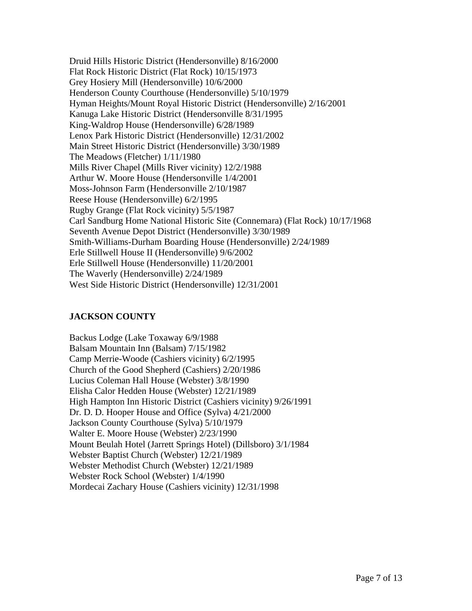Druid Hills Historic District (Hendersonville) 8/16/2000 Flat Rock Historic District (Flat Rock) 10/15/1973 Grey Hosiery Mill (Hendersonville) 10/6/2000 Henderson County Courthouse (Hendersonville) 5/10/1979 Hyman Heights/Mount Royal Historic District (Hendersonville) 2/16/2001 Kanuga Lake Historic District (Hendersonville 8/31/1995 King-Waldrop House (Hendersonville) 6/28/1989 Lenox Park Historic District (Hendersonville) 12/31/2002 Main Street Historic District (Hendersonville) 3/30/1989 The Meadows (Fletcher) 1/11/1980 Mills River Chapel (Mills River vicinity) 12/2/1988 Arthur W. Moore House (Hendersonville 1/4/2001 Moss-Johnson Farm (Hendersonville 2/10/1987 Reese House (Hendersonville) 6/2/1995 Rugby Grange (Flat Rock vicinity) 5/5/1987 Carl Sandburg Home National Historic Site (Connemara) (Flat Rock) 10/17/1968 Seventh Avenue Depot District (Hendersonville) 3/30/1989 Smith-Williams-Durham Boarding House (Hendersonville) 2/24/1989 Erle Stillwell House II (Hendersonville) 9/6/2002 Erle Stillwell House (Hendersonville) 11/20/2001 The Waverly (Hendersonville) 2/24/1989 West Side Historic District (Hendersonville) 12/31/2001

# **JACKSON COUNTY**

Backus Lodge (Lake Toxaway 6/9/1988 Balsam Mountain Inn (Balsam) 7/15/1982 Camp Merrie-Woode (Cashiers vicinity) 6/2/1995 Church of the Good Shepherd (Cashiers) 2/20/1986 Lucius Coleman Hall House (Webster) 3/8/1990 Elisha Calor Hedden House (Webster) 12/21/1989 High Hampton Inn Historic District (Cashiers vicinity) 9/26/1991 Dr. D. D. Hooper House and Office (Sylva) 4/21/2000 Jackson County Courthouse (Sylva) 5/10/1979 Walter E. Moore House (Webster) 2/23/1990 Mount Beulah Hotel (Jarrett Springs Hotel) (Dillsboro) 3/1/1984 Webster Baptist Church (Webster) 12/21/1989 Webster Methodist Church (Webster) 12/21/1989 Webster Rock School (Webster) 1/4/1990 Mordecai Zachary House (Cashiers vicinity) 12/31/1998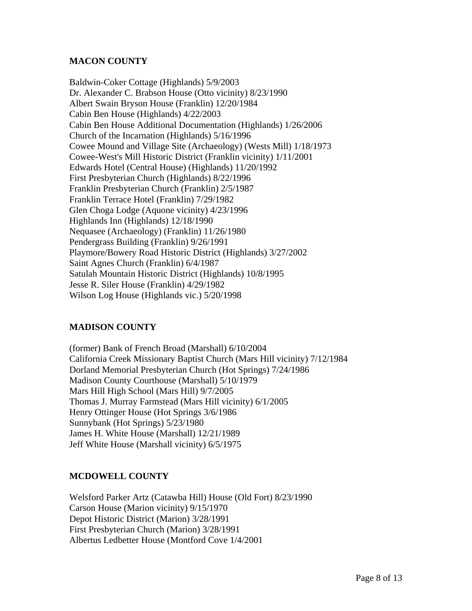#### **MACON COUNTY**

Baldwin-Coker Cottage (Highlands) 5/9/2003 Dr. Alexander C. Brabson House (Otto vicinity) 8/23/1990 Albert Swain Bryson House (Franklin) 12/20/1984 Cabin Ben House (Highlands) 4/22/2003 Cabin Ben House Additional Documentation (Highlands) 1/26/2006 Church of the Incarnation (Highlands) 5/16/1996 Cowee Mound and Village Site (Archaeology) (Wests Mill) 1/18/1973 Cowee-West's Mill Historic District (Franklin vicinity) 1/11/2001 Edwards Hotel (Central House) (Highlands) 11/20/1992 First Presbyterian Church (Highlands) 8/22/1996 Franklin Presbyterian Church (Franklin) 2/5/1987 Franklin Terrace Hotel (Franklin) 7/29/1982 Glen Choga Lodge (Aquone vicinity) 4/23/1996 Highlands Inn (Highlands) 12/18/1990 Nequasee (Archaeology) (Franklin) 11/26/1980 Pendergrass Building (Franklin) 9/26/1991 Playmore/Bowery Road Historic District (Highlands) 3/27/2002 Saint Agnes Church (Franklin) 6/4/1987 Satulah Mountain Historic District (Highlands) 10/8/1995 Jesse R. Siler House (Franklin) 4/29/1982 Wilson Log House (Highlands vic.) 5/20/1998

# **MADISON COUNTY**

(former) Bank of French Broad (Marshall) 6/10/2004 California Creek Missionary Baptist Church (Mars Hill vicinity) 7/12/1984 Dorland Memorial Presbyterian Church (Hot Springs) 7/24/1986 Madison County Courthouse (Marshall) 5/10/1979 Mars Hill High School (Mars Hill) 9/7/2005 Thomas J. Murray Farmstead (Mars Hill vicinity) 6/1/2005 Henry Ottinger House (Hot Springs 3/6/1986 Sunnybank (Hot Springs) 5/23/1980 James H. White House (Marshall) 12/21/1989 Jeff White House (Marshall vicinity) 6/5/1975

# **MCDOWELL COUNTY**

Welsford Parker Artz (Catawba Hill) House (Old Fort) 8/23/1990 Carson House (Marion vicinity) 9/15/1970 Depot Historic District (Marion) 3/28/1991 First Presbyterian Church (Marion) 3/28/1991 Albertus Ledbetter House (Montford Cove 1/4/2001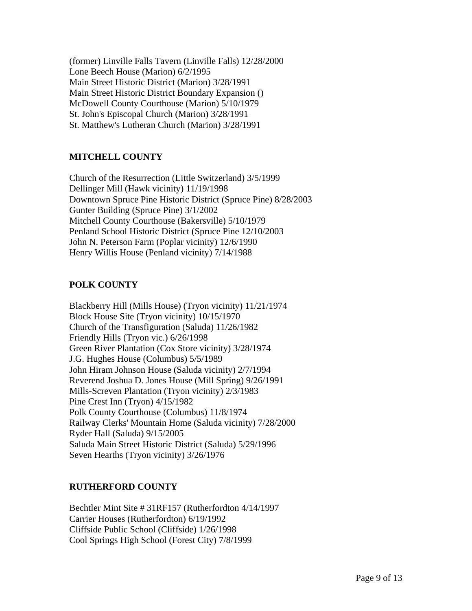(former) Linville Falls Tavern (Linville Falls) 12/28/2000 Lone Beech House (Marion) 6/2/1995 Main Street Historic District (Marion) 3/28/1991 Main Street Historic District Boundary Expansion () McDowell County Courthouse (Marion) 5/10/1979 St. John's Episcopal Church (Marion) 3/28/1991 St. Matthew's Lutheran Church (Marion) 3/28/1991

# **MITCHELL COUNTY**

Church of the Resurrection (Little Switzerland) 3/5/1999 Dellinger Mill (Hawk vicinity) 11/19/1998 Downtown Spruce Pine Historic District (Spruce Pine) 8/28/2003 Gunter Building (Spruce Pine) 3/1/2002 Mitchell County Courthouse (Bakersville) 5/10/1979 Penland School Historic District (Spruce Pine 12/10/2003 John N. Peterson Farm (Poplar vicinity) 12/6/1990 Henry Willis House (Penland vicinity) 7/14/1988

# **POLK COUNTY**

Blackberry Hill (Mills House) (Tryon vicinity) 11/21/1974 Block House Site (Tryon vicinity) 10/15/1970 Church of the Transfiguration (Saluda) 11/26/1982 Friendly Hills (Tryon vic.) 6/26/1998 Green River Plantation (Cox Store vicinity) 3/28/1974 J.G. Hughes House (Columbus) 5/5/1989 John Hiram Johnson House (Saluda vicinity) 2/7/1994 Reverend Joshua D. Jones House (Mill Spring) 9/26/1991 Mills-Screven Plantation (Tryon vicinity) 2/3/1983 Pine Crest Inn (Tryon) 4/15/1982 Polk County Courthouse (Columbus) 11/8/1974 Railway Clerks' Mountain Home (Saluda vicinity) 7/28/2000 Ryder Hall (Saluda) 9/15/2005 Saluda Main Street Historic District (Saluda) 5/29/1996 Seven Hearths (Tryon vicinity) 3/26/1976

# **RUTHERFORD COUNTY**

Bechtler Mint Site # 31RF157 (Rutherfordton 4/14/1997 Carrier Houses (Rutherfordton) 6/19/1992 Cliffside Public School (Cliffside) 1/26/1998 Cool Springs High School (Forest City) 7/8/1999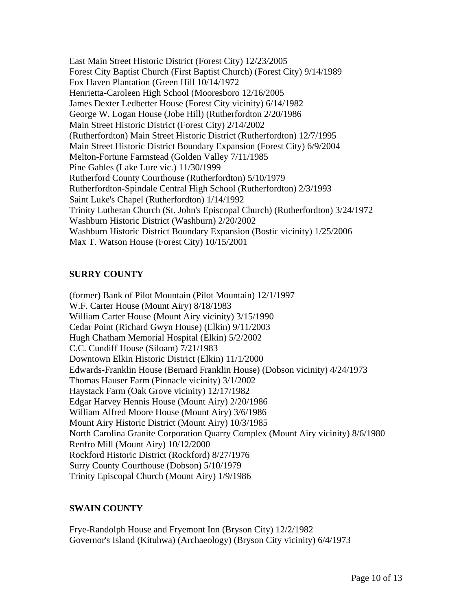East Main Street Historic District (Forest City) 12/23/2005 Forest City Baptist Church (First Baptist Church) (Forest City) 9/14/1989 Fox Haven Plantation (Green Hill 10/14/1972 Henrietta-Caroleen High School (Mooresboro 12/16/2005 James Dexter Ledbetter House (Forest City vicinity) 6/14/1982 George W. Logan House (Jobe Hill) (Rutherfordton 2/20/1986 Main Street Historic District (Forest City) 2/14/2002 (Rutherfordton) Main Street Historic District (Rutherfordton) 12/7/1995 Main Street Historic District Boundary Expansion (Forest City) 6/9/2004 Melton-Fortune Farmstead (Golden Valley 7/11/1985 Pine Gables (Lake Lure vic.) 11/30/1999 Rutherford County Courthouse (Rutherfordton) 5/10/1979 Rutherfordton-Spindale Central High School (Rutherfordton) 2/3/1993 Saint Luke's Chapel (Rutherfordton) 1/14/1992 Trinity Lutheran Church (St. John's Episcopal Church) (Rutherfordton) 3/24/1972 Washburn Historic District (Washburn) 2/20/2002 Washburn Historic District Boundary Expansion (Bostic vicinity) 1/25/2006 Max T. Watson House (Forest City) 10/15/2001

# **SURRY COUNTY**

(former) Bank of Pilot Mountain (Pilot Mountain) 12/1/1997 W.F. Carter House (Mount Airy) 8/18/1983 William Carter House (Mount Airy vicinity) 3/15/1990 Cedar Point (Richard Gwyn House) (Elkin) 9/11/2003 Hugh Chatham Memorial Hospital (Elkin) 5/2/2002 C.C. Cundiff House (Siloam) 7/21/1983 Downtown Elkin Historic District (Elkin) 11/1/2000 Edwards-Franklin House (Bernard Franklin House) (Dobson vicinity) 4/24/1973 Thomas Hauser Farm (Pinnacle vicinity) 3/1/2002 Haystack Farm (Oak Grove vicinity) 12/17/1982 Edgar Harvey Hennis House (Mount Airy) 2/20/1986 William Alfred Moore House (Mount Airy) 3/6/1986 Mount Airy Historic District (Mount Airy) 10/3/1985 North Carolina Granite Corporation Quarry Complex (Mount Airy vicinity) 8/6/1980 Renfro Mill (Mount Airy) 10/12/2000 Rockford Historic District (Rockford) 8/27/1976 Surry County Courthouse (Dobson) 5/10/1979 Trinity Episcopal Church (Mount Airy) 1/9/1986

# **SWAIN COUNTY**

Frye-Randolph House and Fryemont Inn (Bryson City) 12/2/1982 Governor's Island (Kituhwa) (Archaeology) (Bryson City vicinity) 6/4/1973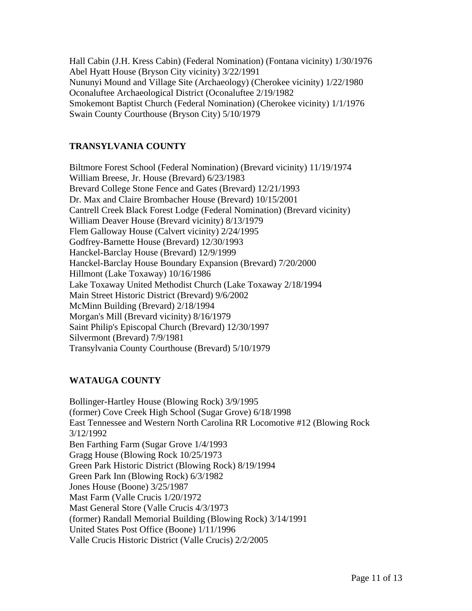Hall Cabin (J.H. Kress Cabin) (Federal Nomination) (Fontana vicinity) 1/30/1976 Abel Hyatt House (Bryson City vicinity) 3/22/1991 Nununyi Mound and Village Site (Archaeology) (Cherokee vicinity) 1/22/1980 Oconaluftee Archaeological District (Oconaluftee 2/19/1982 Smokemont Baptist Church (Federal Nomination) (Cherokee vicinity) 1/1/1976 Swain County Courthouse (Bryson City) 5/10/1979

# **TRANSYLVANIA COUNTY**

Biltmore Forest School (Federal Nomination) (Brevard vicinity) 11/19/1974 William Breese, Jr. House (Brevard) 6/23/1983 Brevard College Stone Fence and Gates (Brevard) 12/21/1993 Dr. Max and Claire Brombacher House (Brevard) 10/15/2001 Cantrell Creek Black Forest Lodge (Federal Nomination) (Brevard vicinity) William Deaver House (Brevard vicinity) 8/13/1979 Flem Galloway House (Calvert vicinity) 2/24/1995 Godfrey-Barnette House (Brevard) 12/30/1993 Hanckel-Barclay House (Brevard) 12/9/1999 Hanckel-Barclay House Boundary Expansion (Brevard) 7/20/2000 Hillmont (Lake Toxaway) 10/16/1986 Lake Toxaway United Methodist Church (Lake Toxaway 2/18/1994 Main Street Historic District (Brevard) 9/6/2002 McMinn Building (Brevard) 2/18/1994 Morgan's Mill (Brevard vicinity) 8/16/1979 Saint Philip's Episcopal Church (Brevard) 12/30/1997 Silvermont (Brevard) 7/9/1981 Transylvania County Courthouse (Brevard) 5/10/1979

# **WATAUGA COUNTY**

Bollinger-Hartley House (Blowing Rock) 3/9/1995 (former) Cove Creek High School (Sugar Grove) 6/18/1998 East Tennessee and Western North Carolina RR Locomotive #12 (Blowing Rock 3/12/1992 Ben Farthing Farm (Sugar Grove 1/4/1993 Gragg House (Blowing Rock 10/25/1973 Green Park Historic District (Blowing Rock) 8/19/1994 Green Park Inn (Blowing Rock) 6/3/1982 Jones House (Boone) 3/25/1987 Mast Farm (Valle Crucis 1/20/1972 Mast General Store (Valle Crucis 4/3/1973 (former) Randall Memorial Building (Blowing Rock) 3/14/1991 United States Post Office (Boone) 1/11/1996 Valle Crucis Historic District (Valle Crucis) 2/2/2005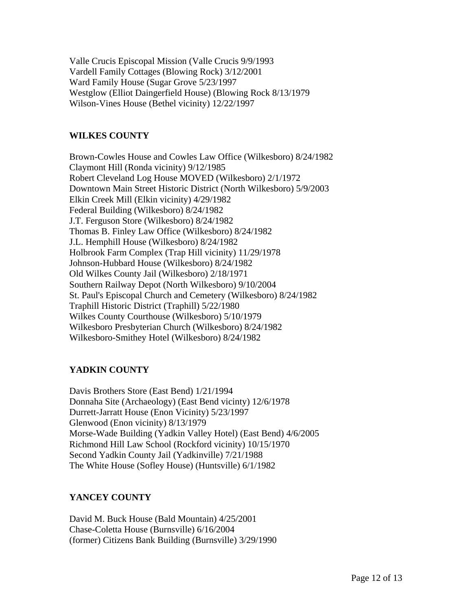Valle Crucis Episcopal Mission (Valle Crucis 9/9/1993 Vardell Family Cottages (Blowing Rock) 3/12/2001 Ward Family House (Sugar Grove 5/23/1997 Westglow (Elliot Daingerfield House) (Blowing Rock 8/13/1979 Wilson-Vines House (Bethel vicinity) 12/22/1997

#### **WILKES COUNTY**

Brown-Cowles House and Cowles Law Office (Wilkesboro) 8/24/1982 Claymont Hill (Ronda vicinity) 9/12/1985 Robert Cleveland Log House MOVED (Wilkesboro) 2/1/1972 Downtown Main Street Historic District (North Wilkesboro) 5/9/2003 Elkin Creek Mill (Elkin vicinity) 4/29/1982 Federal Building (Wilkesboro) 8/24/1982 J.T. Ferguson Store (Wilkesboro) 8/24/1982 Thomas B. Finley Law Office (Wilkesboro) 8/24/1982 J.L. Hemphill House (Wilkesboro) 8/24/1982 Holbrook Farm Complex (Trap Hill vicinity) 11/29/1978 Johnson-Hubbard House (Wilkesboro) 8/24/1982 Old Wilkes County Jail (Wilkesboro) 2/18/1971 Southern Railway Depot (North Wilkesboro) 9/10/2004 St. Paul's Episcopal Church and Cemetery (Wilkesboro) 8/24/1982 Traphill Historic District (Traphill) 5/22/1980 Wilkes County Courthouse (Wilkesboro) 5/10/1979 Wilkesboro Presbyterian Church (Wilkesboro) 8/24/1982 Wilkesboro-Smithey Hotel (Wilkesboro) 8/24/1982

# **YADKIN COUNTY**

Davis Brothers Store (East Bend) 1/21/1994 Donnaha Site (Archaeology) (East Bend vicinty) 12/6/1978 Durrett-Jarratt House (Enon Vicinity) 5/23/1997 Glenwood (Enon vicinity) 8/13/1979 Morse-Wade Building (Yadkin Valley Hotel) (East Bend) 4/6/2005 Richmond Hill Law School (Rockford vicinity) 10/15/1970 Second Yadkin County Jail (Yadkinville) 7/21/1988 The White House (Sofley House) (Huntsville) 6/1/1982

# **YANCEY COUNTY**

David M. Buck House (Bald Mountain) 4/25/2001 Chase-Coletta House (Burnsville) 6/16/2004 (former) Citizens Bank Building (Burnsville) 3/29/1990